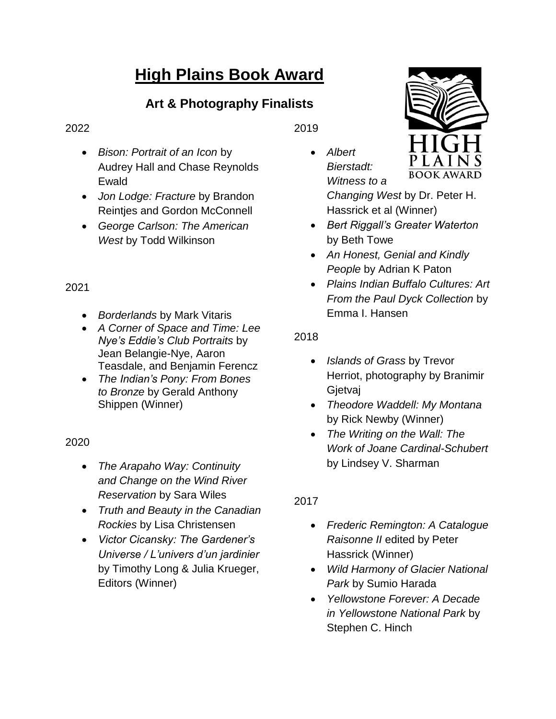# **High Plains Book Award**

# **Art & Photography Finalists**

#### 2022

- *Bison: Portrait of an Icon* by Audrey Hall and Chase Reynolds Ewald
- *Jon Lodge: Fracture* by Brandon Reintjes and Gordon McConnell
- *George Carlson: The American West* by Todd Wilkinson

# 2021

- *Borderlands* by Mark Vitaris
- *A Corner of Space and Time: Lee Nye's Eddie's Club Portraits* by Jean Belangie-Nye, Aaron Teasdale, and Benjamin Ferencz
- *The Indian's Pony: From Bones to Bronze* by Gerald Anthony Shippen (Winner)

## 2020

- *The Arapaho Way: Continuity and Change on the Wind River Reservation* by Sara Wiles
- *Truth and Beauty in the Canadian Rockies* by Lisa Christensen
- *Victor Cicansky: The Gardener's Universe / L'univers d'un jardinier* by Timothy Long & Julia Krueger, Editors (Winner)

2019

 *Albert Bierstadt: Witness to a* 



*Changing West* by Dr. Peter H. Hassrick et al (Winner)

- *Bert Riggall's Greater Waterton*  by Beth Towe
- *An Honest, Genial and Kindly People* by Adrian K Paton
- *Plains Indian Buffalo Cultures: Art From the Paul Dyck Collection* by Emma I. Hansen

# 2018

- *Islands of Grass* by Trevor Herriot, photography by Branimir **Gjetvaj**
- *Theodore Waddell: My Montana* by Rick Newby (Winner)
- *The Writing on the Wall: The Work of Joane Cardinal-Schubert* by Lindsey V. Sharman

# 2017

- *Frederic Remington: A Catalogue Raisonne II* edited by Peter Hassrick (Winner)
- *Wild Harmony of Glacier National Park* by Sumio Harada
- *Yellowstone Forever: A Decade in Yellowstone National Park* by Stephen C. Hinch